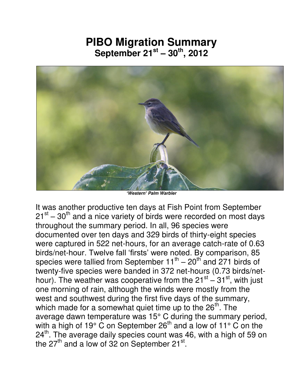## **PIBO Migration Summary September 21st – 30th, 2012**



*'Western' Palm Warbler* 

It was another productive ten days at Fish Point from September  $21<sup>st</sup> - 30<sup>th</sup>$  and a nice variety of birds were recorded on most days throughout the summary period. In all, 96 species were documented over ten days and 329 birds of thirty-eight species were captured in 522 net-hours, for an average catch-rate of 0.63 birds/net-hour. Twelve fall 'firsts' were noted. By comparison, 85 species were tallied from September  $11^{\text{th}} - 20^{\text{th}}$  and 271 birds of twenty-five species were banded in 372 net-hours (0.73 birds/nethour). The weather was cooperative from the  $21^{st} - 31^{st}$ , with just one morning of rain, although the winds were mostly from the west and southwest during the first five days of the summary, which made for a somewhat quiet time up to the  $26<sup>th</sup>$ . The average dawn temperature was 15° C during the summary period, with a high of 19 $\degree$  C on September 26<sup>th</sup> and a low of 11 $\degree$  C on the 24<sup>th</sup>. The average daily species count was 46, with a high of 59 on the 27<sup>th</sup> and a low of 32 on September 21 $^{\rm st}$ .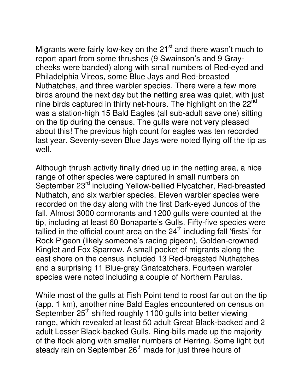Migrants were fairly low-key on the  $21<sup>st</sup>$  and there wasn't much to report apart from some thrushes (9 Swainson's and 9 Graycheeks were banded) along with small numbers of Red-eyed and Philadelphia Vireos, some Blue Jays and Red-breasted Nuthatches, and three warbler species. There were a few more birds around the next day but the netting area was quiet, with just nine birds captured in thirty net-hours. The highlight on the 22<sup>nd</sup> was a station-high 15 Bald Eagles (all sub-adult save one) sitting on the tip during the census. The gulls were not very pleased about this! The previous high count for eagles was ten recorded last year. Seventy-seven Blue Jays were noted flying off the tip as well.

Although thrush activity finally dried up in the netting area, a nice range of other species were captured in small numbers on September 23rd including Yellow-bellied Flycatcher, Red-breasted Nuthatch, and six warbler species. Eleven warbler species were recorded on the day along with the first Dark-eyed Juncos of the fall. Almost 3000 cormorants and 1200 gulls were counted at the tip, including at least 60 Bonaparte's Gulls. Fifty-five species were tallied in the official count area on the  $24<sup>th</sup>$  including fall 'firsts' for Rock Pigeon (likely someone's racing pigeon), Golden-crowned Kinglet and Fox Sparrow. A small pocket of migrants along the east shore on the census included 13 Red-breasted Nuthatches and a surprising 11 Blue-gray Gnatcatchers. Fourteen warbler species were noted including a couple of Northern Parulas.

While most of the gulls at Fish Point tend to roost far out on the tip (app. 1 km), another nine Bald Eagles encountered on census on September 25<sup>th</sup> shifted roughly 1100 gulls into better viewing range, which revealed at least 50 adult Great Black-backed and 2 adult Lesser Black-backed Gulls. Ring-bills made up the majority of the flock along with smaller numbers of Herring. Some light but steady rain on September 26<sup>th</sup> made for just three hours of